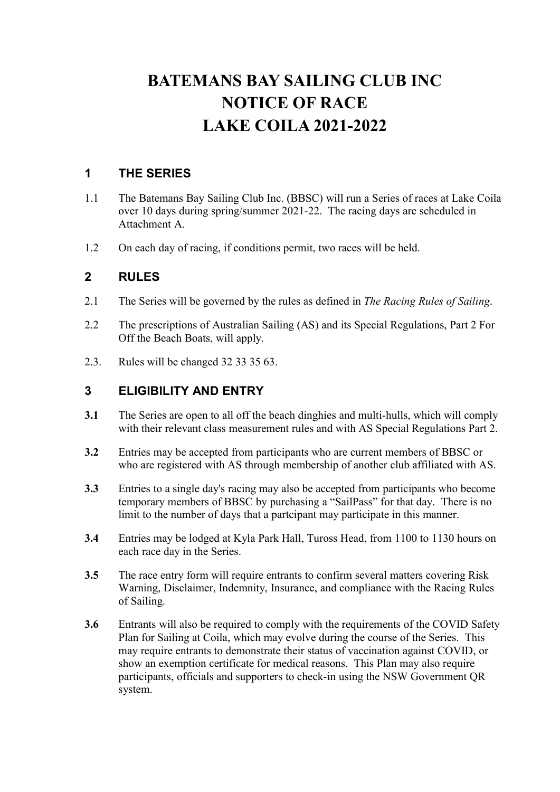# BATEMANS BAY SAILING CLUB INC NOTICE OF RACE LAKE COILA 2021-2022

# 1 THE SERIES

- 1.1 The Batemans Bay Sailing Club Inc. (BBSC) will run a Series of races at Lake Coila over 10 days during spring/summer 2021-22. The racing days are scheduled in Attachment A.
- 1.2 On each day of racing, if conditions permit, two races will be held.

## 2 RULES

- 2.1 The Series will be governed by the rules as defined in The Racing Rules of Sailing.
- 2.2 The prescriptions of Australian Sailing (AS) and its Special Regulations, Part 2 For Off the Beach Boats, will apply.
- 2.3. Rules will be changed 32 33 35 63.

## 3 ELIGIBILITY AND ENTRY

- 3.1 The Series are open to all off the beach dinghies and multi-hulls, which will comply with their relevant class measurement rules and with AS Special Regulations Part 2.
- 3.2 Entries may be accepted from participants who are current members of BBSC or who are registered with AS through membership of another club affiliated with AS.
- 3.3 Entries to a single day's racing may also be accepted from participants who become temporary members of BBSC by purchasing a "SailPass" for that day. There is no limit to the number of days that a partcipant may participate in this manner.
- 3.4 Entries may be lodged at Kyla Park Hall, Tuross Head, from 1100 to 1130 hours on each race day in the Series.
- 3.5 The race entry form will require entrants to confirm several matters covering Risk Warning, Disclaimer, Indemnity, Insurance, and compliance with the Racing Rules of Sailing.
- 3.6 Entrants will also be required to comply with the requirements of the COVID Safety Plan for Sailing at Coila, which may evolve during the course of the Series. This may require entrants to demonstrate their status of vaccination against COVID, or show an exemption certificate for medical reasons. This Plan may also require participants, officials and supporters to check-in using the NSW Government QR system.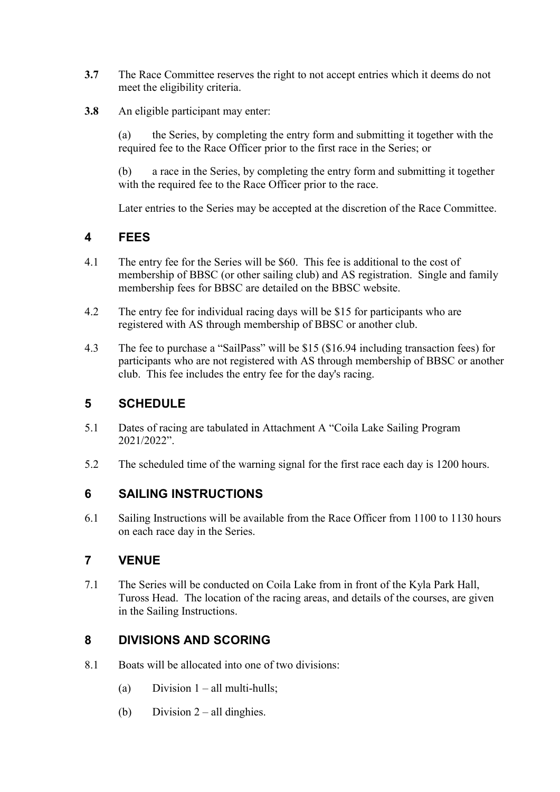- 3.7 The Race Committee reserves the right to not accept entries which it deems do not meet the eligibility criteria.
- 3.8 An eligible participant may enter:

(a) the Series, by completing the entry form and submitting it together with the required fee to the Race Officer prior to the first race in the Series; or

(b) a race in the Series, by completing the entry form and submitting it together with the required fee to the Race Officer prior to the race.

Later entries to the Series may be accepted at the discretion of the Race Committee.

### 4 FEES

- 4.1 The entry fee for the Series will be \$60. This fee is additional to the cost of membership of BBSC (or other sailing club) and AS registration. Single and family membership fees for BBSC are detailed on the BBSC website.
- 4.2 The entry fee for individual racing days will be \$15 for participants who are registered with AS through membership of BBSC or another club.
- 4.3 The fee to purchase a "SailPass" will be \$15 (\$16.94 including transaction fees) for participants who are not registered with AS through membership of BBSC or another club. This fee includes the entry fee for the day's racing.

#### 5 SCHEDULE

- 5.1 Dates of racing are tabulated in Attachment A "Coila Lake Sailing Program 2021/2022".
- 5.2 The scheduled time of the warning signal for the first race each day is 1200 hours.

#### 6 SAILING INSTRUCTIONS

6.1 Sailing Instructions will be available from the Race Officer from 1100 to 1130 hours on each race day in the Series.

### 7 VENUE

7.1 The Series will be conducted on Coila Lake from in front of the Kyla Park Hall, Tuross Head. The location of the racing areas, and details of the courses, are given in the Sailing Instructions.

### 8 DIVISIONS AND SCORING

- 8.1 Boats will be allocated into one of two divisions:
	- (a) Division  $1 all$  multi-hulls;
	- (b) Division  $2 -$  all dinghies.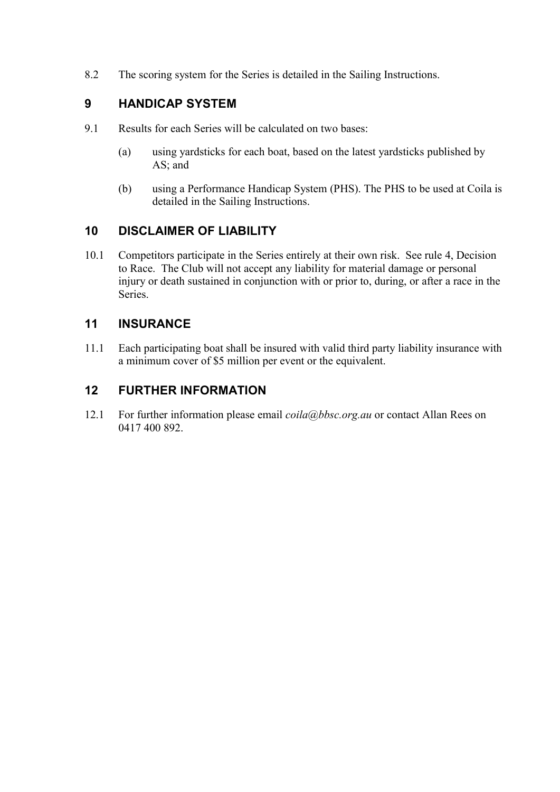8.2 The scoring system for the Series is detailed in the Sailing Instructions.

# 9 HANDICAP SYSTEM

- 9.1 Results for each Series will be calculated on two bases:
	- (a) using yardsticks for each boat, based on the latest yardsticks published by AS; and
	- (b) using a Performance Handicap System (PHS). The PHS to be used at Coila is detailed in the Sailing Instructions.

## 10 DISCLAIMER OF LIABILITY

10.1 Competitors participate in the Series entirely at their own risk. See rule 4, Decision to Race. The Club will not accept any liability for material damage or personal injury or death sustained in conjunction with or prior to, during, or after a race in the Series.

## 11 INSURANCE

11.1 Each participating boat shall be insured with valid third party liability insurance with a minimum cover of \$5 million per event or the equivalent.

## 12 FURTHER INFORMATION

12.1 For further information please email  $\text{coila}(a) b \text{b} s \text{c}$ .org.au or contact Allan Rees on 0417 400 892.